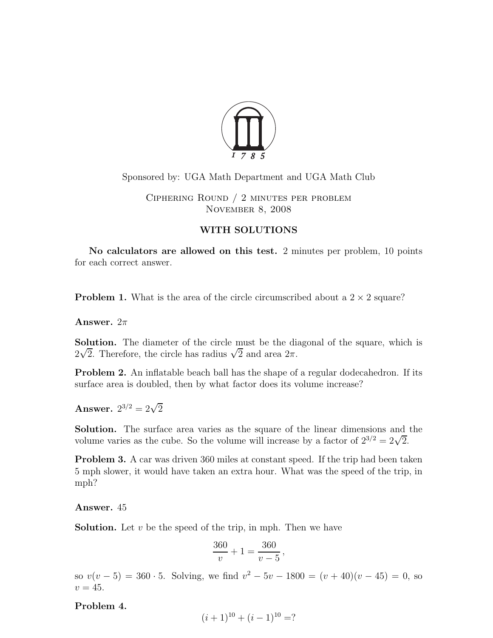

# Sponsored by: UGA Math Department and UGA Math Club

Ciphering Round / 2 minutes per problem November 8, 2008

# WITH SOLUTIONS

No calculators are allowed on this test. 2 minutes per problem, 10 points for each correct answer.

**Problem 1.** What is the area of the circle circumscribed about a  $2 \times 2$  square?

Answer.  $2\pi$ 

Solution. The diameter of the circle must be the diagonal of the square, which is  $2\sqrt{2}$ . Therefore, the circle has radius  $\sqrt{2}$  and area  $2\pi$ .

Problem 2. An inflatable beach ball has the shape of a regular dodecahedron. If its surface area is doubled, then by what factor does its volume increase?

Answer.  $2^{3/2} = 2\sqrt{2}$ 

Solution. The surface area varies as the square of the linear dimensions and the volume varies as the cube. So the volume will increase by a factor of  $2^{3/2} = 2\sqrt{2}$ .

Problem 3. A car was driven 360 miles at constant speed. If the trip had been taken 5 mph slower, it would have taken an extra hour. What was the speed of the trip, in mph?

Answer. 45

**Solution.** Let  $v$  be the speed of the trip, in mph. Then we have

$$
\frac{360}{v} + 1 = \frac{360}{v - 5},
$$

so  $v(v-5) = 360 \cdot 5$ . Solving, we find  $v^2 - 5v - 1800 = (v + 40)(v - 45) = 0$ , so  $v = 45$ .

Problem 4.

$$
(i+1)^{10} + (i-1)^{10} = ?
$$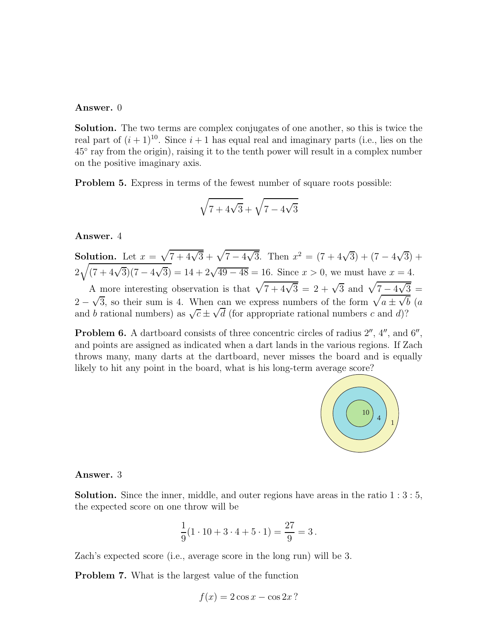#### Answer. 0

Solution. The two terms are complex conjugates of one another, so this is twice the real part of  $(i + 1)^{10}$ . Since  $i + 1$  has equal real and imaginary parts (i.e., lies on the 45◦ ray from the origin), raising it to the tenth power will result in a complex number on the positive imaginary axis.

Problem 5. Express in terms of the fewest number of square roots possible:

$$
\sqrt{7+4\sqrt{3}}+\sqrt{7-4\sqrt{3}}
$$

Answer. 4

Solution. Let  $x = \sqrt{7 + 4\sqrt{3}} + \sqrt{7 - 4\sqrt{3}}$ . Then  $x^2 = (7 + 4\sqrt{3}) + (7 - 4\sqrt{3}) +$  $2\sqrt{(7+4\sqrt{3})(7-4\sqrt{3})} = 14 + 2\sqrt{49-48} = 16.$  Since  $x > 0$ , we must have  $x = 4$ . A more interesting observation is that  $\sqrt{7 + 4\sqrt{3}} = 2 + \sqrt{3}$  and  $\sqrt{7 - 4\sqrt{3}} =$  $2-\sqrt{3}$ , so their sum is 4. When can we express numbers of the form  $\sqrt{a\pm\sqrt{b}}$  (a and b rational numbers) as  $\sqrt{c} \pm \sqrt{d}$  (for appropriate rational numbers c and d)?

**Problem 6.** A dartboard consists of three concentric circles of radius  $2^{\prime\prime}$ ,  $4^{\prime\prime}$ , and  $6^{\prime\prime}$ , and points are assigned as indicated when a dart lands in the various regions. If Zach throws many, many darts at the dartboard, never misses the board and is equally likely to hit any point in the board, what is his long-term average score?



### Answer. 3

**Solution.** Since the inner, middle, and outer regions have areas in the ratio  $1:3:5$ , the expected score on one throw will be

$$
\frac{1}{9}(1 \cdot 10 + 3 \cdot 4 + 5 \cdot 1) = \frac{27}{9} = 3.
$$

Zach's expected score (i.e., average score in the long run) will be 3.

Problem 7. What is the largest value of the function

$$
f(x) = 2\cos x - \cos 2x?
$$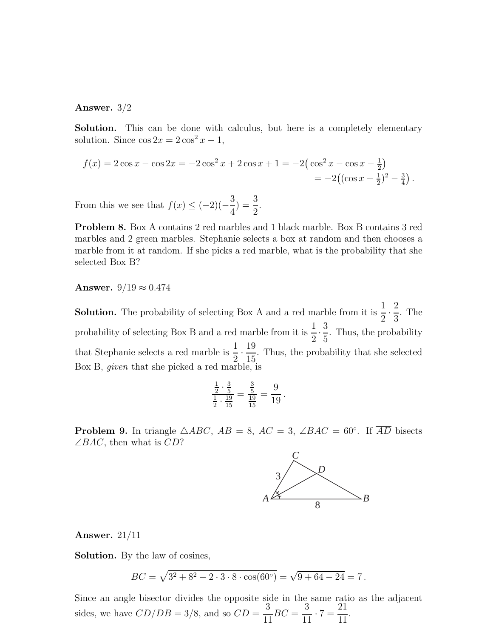#### Answer. 3/2

Solution. This can be done with calculus, but here is a completely elementary solution. Since  $\cos 2x = 2 \cos^2 x - 1$ ,

$$
f(x) = 2\cos x - \cos 2x = -2\cos^2 x + 2\cos x + 1 = -2(\cos^2 x - \cos x - \frac{1}{2})
$$
  
= -2((\cos x - \frac{1}{2})^2 - \frac{3}{4}).

From this we see that  $f(x) \leq (-2)(-$ 3 4  $) = \frac{3}{2}$ 2 .

Problem 8. Box A contains 2 red marbles and 1 black marble. Box B contains 3 red marbles and 2 green marbles. Stephanie selects a box at random and then chooses a marble from it at random. If she picks a red marble, what is the probability that she selected Box B?

# Answer.  $9/19 \approx 0.474$

**Solution.** The probability of selecting Box A and a red marble from it is  $\frac{1}{2}$  $\frac{1}{2}$ 2 3 . The probability of selecting Box B and a red marble from it is  $\frac{1}{2}$  $\overline{2}$ . 3 5 . Thus, the probability that Stephanie selects a red marble is  $\frac{1}{2}$  $\overline{2}$ . 19 15 . Thus, the probability that she selected Box B, given that she picked a red marble, is

$$
\frac{\frac{1}{2} \cdot \frac{3}{5}}{\frac{1}{2} \cdot \frac{19}{15}} = \frac{\frac{3}{5}}{\frac{19}{15}} = \frac{9}{19}.
$$

**Problem 9.** In triangle  $\triangle ABC$ ,  $AB = 8$ ,  $AC = 3$ ,  $\angle BAC = 60^\circ$ . If  $\overline{AD}$  bisects  $\angle BAC$ , then what is  $CD$ ?



### Answer. 21/11

Solution. By the law of cosines,

$$
BC = \sqrt{3^2 + 8^2 - 2 \cdot 3 \cdot 8 \cdot \cos(60^\circ)} = \sqrt{9 + 64 - 24} = 7.
$$

Since an angle bisector divides the opposite side in the same ratio as the adjacent sides, we have  $CD/DB = 3/8$ , and so  $CD =$ 3 11  $BC =$ 3  $\frac{6}{11} \cdot 7 =$ 21 11 .